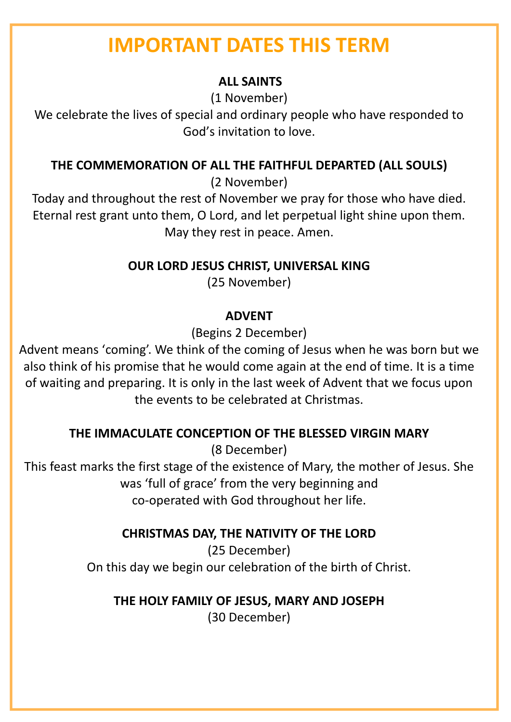# **IMPORTANT DATES THIS TERM**

## **ALL SAINTS**

(1 November)

We celebrate the lives of special and ordinary people who have responded to God's invitation to love.

## **THE COMMEMORATION OF ALL THE FAITHFUL DEPARTED (ALL SOULS)**

(2 November)

Today and throughout the rest of November we pray for those who have died. Eternal rest grant unto them, O Lord, and let perpetual light shine upon them. May they rest in peace. Amen.

**OUR LORD JESUS CHRIST, UNIVERSAL KING** 

(25 November)

### **ADVENT**

(Begins 2 December)

Advent means 'coming'. We think of the coming of Jesus when he was born but we also think of his promise that he would come again at the end of time. It is a time of waiting and preparing. It is only in the last week of Advent that we focus upon the events to be celebrated at Christmas.

## **THE IMMACULATE CONCEPTION OF THE BLESSED VIRGIN MARY**

(8 December)

This feast marks the first stage of the existence of Mary, the mother of Jesus. She was 'full of grace' from the very beginning and co-operated with God throughout her life.

**CHRISTMAS DAY, THE NATIVITY OF THE LORD**

(25 December) On this day we begin our celebration of the birth of Christ.

**THE HOLY FAMILY OF JESUS, MARY AND JOSEPH**

(30 December)